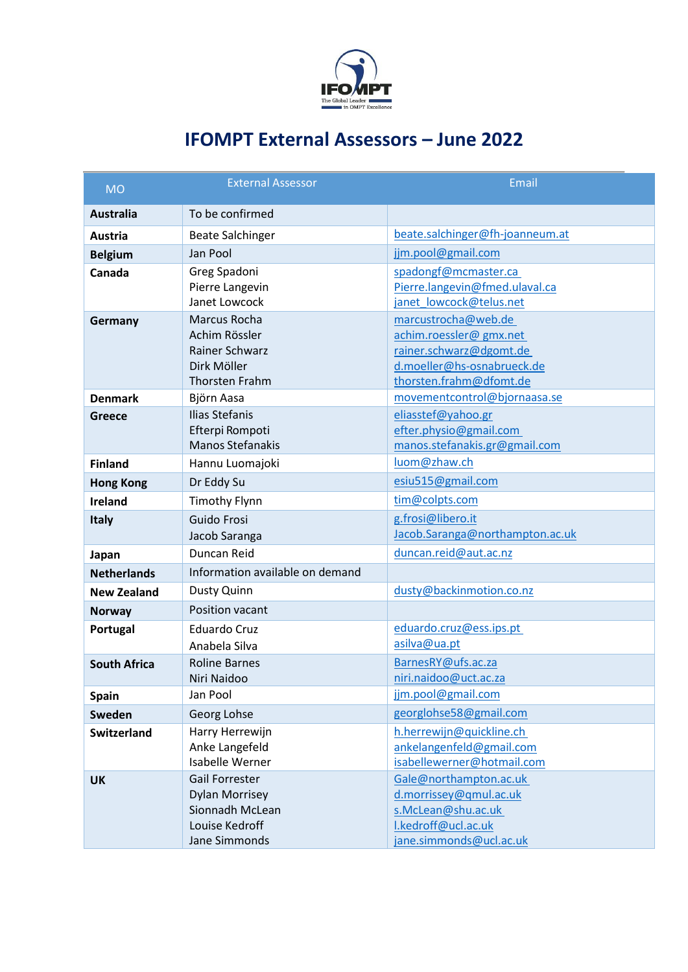

## **IFOMPT External Assessors – June 2022**

| <b>MO</b>           | <b>External Assessor</b>                                                                             | Email                                                                                                                             |
|---------------------|------------------------------------------------------------------------------------------------------|-----------------------------------------------------------------------------------------------------------------------------------|
| <b>Australia</b>    | To be confirmed                                                                                      |                                                                                                                                   |
| Austria             | <b>Beate Salchinger</b>                                                                              | beate.salchinger@fh-joanneum.at                                                                                                   |
| <b>Belgium</b>      | Jan Pool                                                                                             | jjm.pool@gmail.com                                                                                                                |
| Canada              | Greg Spadoni<br>Pierre Langevin                                                                      | spadongf@mcmaster.ca<br>Pierre.langevin@fmed.ulaval.ca                                                                            |
|                     | Janet Lowcock                                                                                        | janet lowcock@telus.net                                                                                                           |
| Germany             | Marcus Rocha<br>Achim Rössler<br><b>Rainer Schwarz</b><br>Dirk Möller<br><b>Thorsten Frahm</b>       | marcustrocha@web.de<br>achim.roessler@gmx.net<br>rainer.schwarz@dgomt.de<br>d.moeller@hs-osnabrueck.de<br>thorsten.frahm@dfomt.de |
| <b>Denmark</b>      | Björn Aasa                                                                                           | movementcontrol@bjornaasa.se                                                                                                      |
| <b>Greece</b>       | <b>Ilias Stefanis</b><br>Efterpi Rompoti<br><b>Manos Stefanakis</b>                                  | eliasstef@yahoo.gr<br>efter.physio@gmail.com<br>manos.stefanakis.gr@gmail.com                                                     |
| <b>Finland</b>      | Hannu Luomajoki                                                                                      | luom@zhaw.ch                                                                                                                      |
| <b>Hong Kong</b>    | Dr Eddy Su                                                                                           | esiu515@gmail.com                                                                                                                 |
| Ireland             | <b>Timothy Flynn</b>                                                                                 | tim@colpts.com                                                                                                                    |
| <b>Italy</b>        | Guido Frosi<br>Jacob Saranga                                                                         | g.frosi@libero.it<br>Jacob.Saranga@northampton.ac.uk                                                                              |
| Japan               | Duncan Reid                                                                                          | duncan.reid@aut.ac.nz                                                                                                             |
| <b>Netherlands</b>  | Information available on demand                                                                      |                                                                                                                                   |
| <b>New Zealand</b>  | Dusty Quinn                                                                                          | dusty@backinmotion.co.nz                                                                                                          |
| <b>Norway</b>       | Position vacant                                                                                      |                                                                                                                                   |
| Portugal            | <b>Eduardo Cruz</b><br>Anabela Silva                                                                 | eduardo.cruz@ess.ips.pt<br>asilva@ua.pt                                                                                           |
| <b>South Africa</b> | <b>Roline Barnes</b><br>Niri Naidoo                                                                  | BarnesRY@ufs.ac.za<br>niri.naidoo@uct.ac.za                                                                                       |
| <b>Spain</b>        | Jan Pool                                                                                             | jjm.pool@gmail.com                                                                                                                |
| Sweden              | Georg Lohse                                                                                          | georglohse58@gmail.com                                                                                                            |
| <b>Switzerland</b>  | Harry Herrewijn<br>Anke Langefeld<br>Isabelle Werner                                                 | h.herrewijn@quickline.ch<br>ankelangenfeld@gmail.com<br>isabellewerner@hotmail.com                                                |
| <b>UK</b>           | <b>Gail Forrester</b><br><b>Dylan Morrisey</b><br>Sionnadh McLean<br>Louise Kedroff<br>Jane Simmonds | Gale@northampton.ac.uk<br>d.morrissey@qmul.ac.uk<br>s.McLean@shu.ac.uk<br>I.kedroff@ucl.ac.uk<br>jane.simmonds@ucl.ac.uk          |